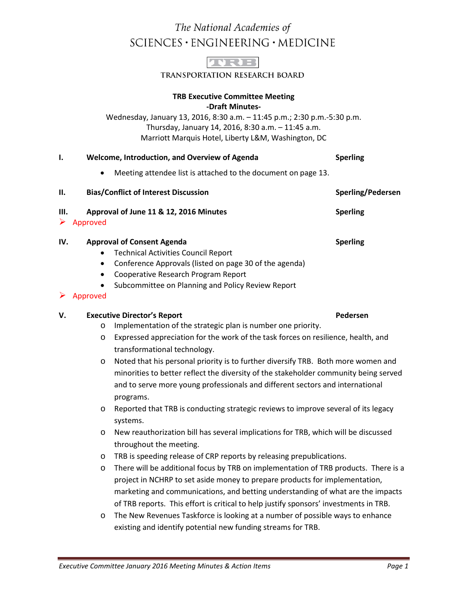# The National Academies of SCIENCES · ENGINEERING · MEDICINE



TRANSPORTATION RESEARCH BOARD

#### **TRB Executive Committee Meeting -Draft Minutes-**

Wednesday, January 13, 2016, 8:30 a.m. – 11:45 p.m.; 2:30 p.m.-5:30 p.m. Thursday, January 14, 2016, 8:30 a.m. – 11:45 a.m. Marriott Marquis Hotel, Liberty L&M, Washington, DC

| Ι.        | Welcome, Introduction, and Overview of Agenda |                                                                                                                                                                                                                                                                         | <b>Sperling</b>          |
|-----------|-----------------------------------------------|-------------------------------------------------------------------------------------------------------------------------------------------------------------------------------------------------------------------------------------------------------------------------|--------------------------|
|           |                                               | Meeting attendee list is attached to the document on page 13.                                                                                                                                                                                                           |                          |
| П.        | <b>Bias/Conflict of Interest Discussion</b>   |                                                                                                                                                                                                                                                                         | <b>Sperling/Pedersen</b> |
| III.<br>➤ | Approved                                      | Approval of June 11 & 12, 2016 Minutes                                                                                                                                                                                                                                  | <b>Sperling</b>          |
| IV.<br>➤  | $\bullet$<br>Approved                         | <b>Approval of Consent Agenda</b><br><b>Technical Activities Council Report</b><br>Conference Approvals (listed on page 30 of the agenda)<br>Cooperative Research Program Report<br>Subcommittee on Planning and Policy Review Report                                   | <b>Sperling</b>          |
| v.        |                                               | <b>Executive Director's Report</b>                                                                                                                                                                                                                                      | Pedersen                 |
|           | $\circ$                                       | Implementation of the strategic plan is number one priority.                                                                                                                                                                                                            |                          |
|           | $\circ$                                       | Expressed appreciation for the work of the task forces on resilience, health, and<br>transformational technology.                                                                                                                                                       |                          |
|           | $\circ$                                       | Noted that his personal priority is to further diversify TRB. Both more women and<br>minorities to better reflect the diversity of the stakeholder community being served<br>and to serve more young professionals and different sectors and international<br>programs. |                          |
|           | $\circ$                                       | Reported that TRB is conducting strategic reviews to improve several of its legacy                                                                                                                                                                                      |                          |

- o Reported that TRB is conducting strategic reviews to improve several of its legacy systems.
- o New reauthorization bill has several implications for TRB, which will be discussed throughout the meeting.
- o TRB is speeding release of CRP reports by releasing prepublications.
- o There will be additional focus by TRB on implementation of TRB products. There is a project in NCHRP to set aside money to prepare products for implementation, marketing and communications, and betting understanding of what are the impacts of TRB reports. This effort is critical to help justify sponsors' investments in TRB.
- o The New Revenues Taskforce is looking at a number of possible ways to enhance existing and identify potential new funding streams for TRB.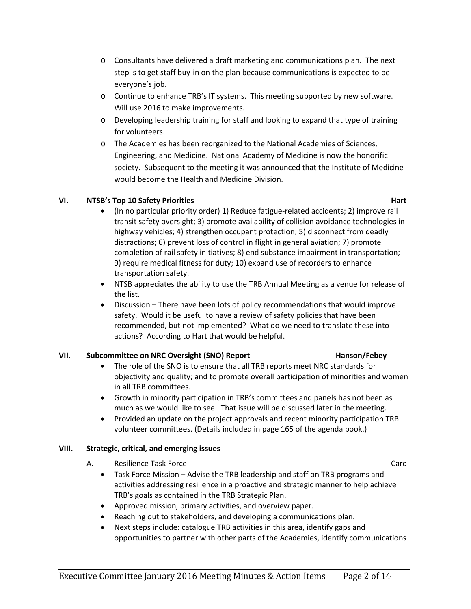- $\circ$  Consultants have delivered a draft marketing and communications plan. The next step is to get staff buy-in on the plan because communications is expected to be everyone's job.
- o Continue to enhance TRB's IT systems. This meeting supported by new software. Will use 2016 to make improvements.
- o Developing leadership training for staff and looking to expand that type of training for volunteers.
- o The Academies has been reorganized to the National Academies of Sciences, Engineering, and Medicine. National Academy of Medicine is now the honorific society. Subsequent to the meeting it was announced that the Institute of Medicine would become the Health and Medicine Division.

# **VI. NTSB's Top 10 Safety Priorities Hart**

- (In no particular priority order) 1) Reduce fatigue-related accidents; 2) improve rail transit safety oversight; 3) promote availability of collision avoidance technologies in highway vehicles; 4) strengthen occupant protection; 5) disconnect from deadly distractions; 6) prevent loss of control in flight in general aviation; 7) promote completion of rail safety initiatives; 8) end substance impairment in transportation; 9) require medical fitness for duty; 10) expand use of recorders to enhance transportation safety.
- NTSB appreciates the ability to use the TRB Annual Meeting as a venue for release of the list.
- Discussion There have been lots of policy recommendations that would improve safety. Would it be useful to have a review of safety policies that have been recommended, but not implemented? What do we need to translate these into actions? According to Hart that would be helpful.

# **VII. Subcommittee on NRC Oversight (SNO) Report Hanson/Febey**

- The role of the SNO is to ensure that all TRB reports meet NRC standards for objectivity and quality; and to promote overall participation of minorities and women in all TRB committees.
- Growth in minority participation in TRB's committees and panels has not been as much as we would like to see. That issue will be discussed later in the meeting.
- Provided an update on the project approvals and recent minority participation TRB volunteer committees. (Details included in page 165 of the agenda book.)

# **VIII. Strategic, critical, and emerging issues**

- A. Resilience Task Force Card
	- Task Force Mission Advise the TRB leadership and staff on TRB programs and activities addressing resilience in a proactive and strategic manner to help achieve TRB's goals as contained in the TRB Strategic Plan.
	- Approved mission, primary activities, and overview paper.
	- Reaching out to stakeholders, and developing a communications plan.
	- Next steps include: catalogue TRB activities in this area, identify gaps and opportunities to partner with other parts of the Academies, identify communications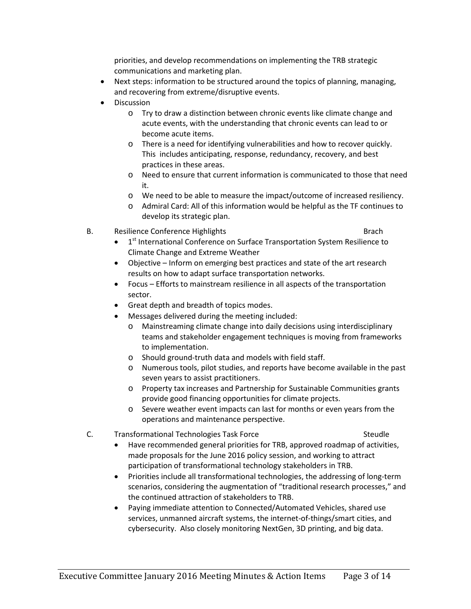priorities, and develop recommendations on implementing the TRB strategic communications and marketing plan.

- Next steps: information to be structured around the topics of planning, managing, and recovering from extreme/disruptive events.
- Discussion
	- o Try to draw a distinction between chronic events like climate change and acute events, with the understanding that chronic events can lead to or become acute items.
	- o There is a need for identifying vulnerabilities and how to recover quickly. This includes anticipating, response, redundancy, recovery, and best practices in these areas.
	- o Need to ensure that current information is communicated to those that need it.
	- o We need to be able to measure the impact/outcome of increased resiliency.
	- o Admiral Card: All of this information would be helpful as the TF continues to develop its strategic plan.
- B. Resilience Conference Highlights Brach Brach Brach
	- 1<sup>st</sup> International Conference on Surface Transportation System Resilience to Climate Change and Extreme Weather
	- Objective Inform on emerging best practices and state of the art research results on how to adapt surface transportation networks.
	- Focus Efforts to mainstream resilience in all aspects of the transportation sector.
	- Great depth and breadth of topics modes.
	- Messages delivered during the meeting included:
		- o Mainstreaming climate change into daily decisions using interdisciplinary teams and stakeholder engagement techniques is moving from frameworks to implementation.
		- o Should ground-truth data and models with field staff.
		- o Numerous tools, pilot studies, and reports have become available in the past seven years to assist practitioners.
		- o Property tax increases and Partnership for Sustainable Communities grants provide good financing opportunities for climate projects.
		- o Severe weather event impacts can last for months or even years from the operations and maintenance perspective.

### C. Transformational Technologies Task Force Steudle

- Have recommended general priorities for TRB, approved roadmap of activities, made proposals for the June 2016 policy session, and working to attract participation of transformational technology stakeholders in TRB.
- Priorities include all transformational technologies, the addressing of long-term scenarios, considering the augmentation of "traditional research processes," and the continued attraction of stakeholders to TRB.
- Paying immediate attention to Connected/Automated Vehicles, shared use services, unmanned aircraft systems, the internet-of-things/smart cities, and cybersecurity. Also closely monitoring NextGen, 3D printing, and big data.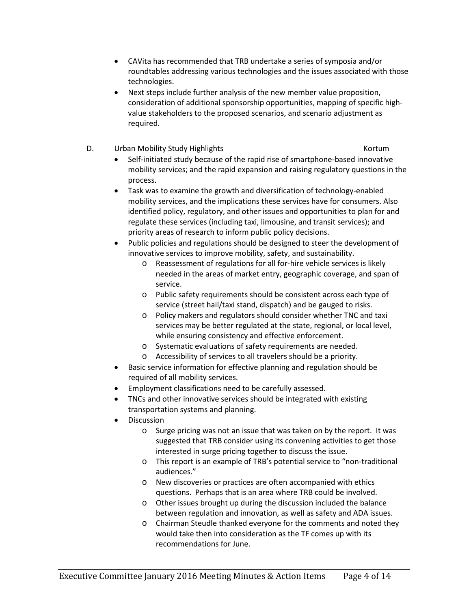- CAVita has recommended that TRB undertake a series of symposia and/or roundtables addressing various technologies and the issues associated with those technologies.
- Next steps include further analysis of the new member value proposition, consideration of additional sponsorship opportunities, mapping of specific highvalue stakeholders to the proposed scenarios, and scenario adjustment as required.
- D. Urban Mobility Study Highlights **Kortum** Kortum

- Self-initiated study because of the rapid rise of smartphone-based innovative mobility services; and the rapid expansion and raising regulatory questions in the process.
- Task was to examine the growth and diversification of technology-enabled mobility services, and the implications these services have for consumers. Also identified policy, regulatory, and other issues and opportunities to plan for and regulate these services (including taxi, limousine, and transit services); and priority areas of research to inform public policy decisions.
- Public policies and regulations should be designed to steer the development of innovative services to improve mobility, safety, and sustainability.
	- o Reassessment of regulations for all for-hire vehicle services is likely needed in the areas of market entry, geographic coverage, and span of service.
	- o Public safety requirements should be consistent across each type of service (street hail/taxi stand, dispatch) and be gauged to risks.
	- o Policy makers and regulators should consider whether TNC and taxi services may be better regulated at the state, regional, or local level, while ensuring consistency and effective enforcement.
	- o Systematic evaluations of safety requirements are needed.
	- o Accessibility of services to all travelers should be a priority.
- Basic service information for effective planning and regulation should be required of all mobility services.
- Employment classifications need to be carefully assessed.
- TNCs and other innovative services should be integrated with existing transportation systems and planning.
- **Discussion** 
	- o Surge pricing was not an issue that was taken on by the report. It was suggested that TRB consider using its convening activities to get those interested in surge pricing together to discuss the issue.
	- o This report is an example of TRB's potential service to "non-traditional audiences."
	- o New discoveries or practices are often accompanied with ethics questions. Perhaps that is an area where TRB could be involved.
	- o Other issues brought up during the discussion included the balance between regulation and innovation, as well as safety and ADA issues.
	- o Chairman Steudle thanked everyone for the comments and noted they would take then into consideration as the TF comes up with its recommendations for June.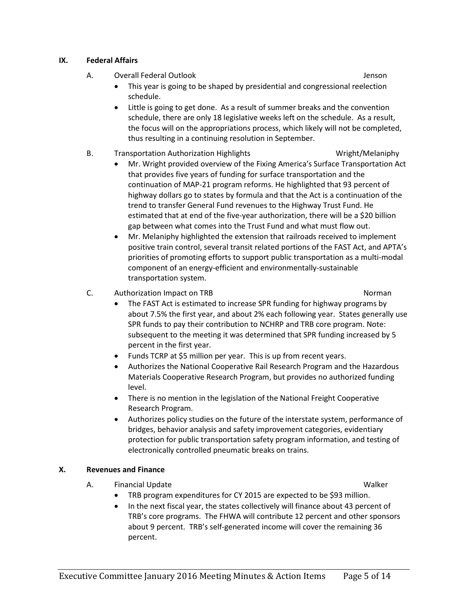### **IX. Federal Affairs**

- A. Overall Federal Outlook Jenson
	- This year is going to be shaped by presidential and congressional reelection schedule.
	- Little is going to get done. As a result of summer breaks and the convention schedule, there are only 18 legislative weeks left on the schedule. As a result, the focus will on the appropriations process, which likely will not be completed, thus resulting in a continuing resolution in September.

### B. Transportation Authorization Highlights **Wright/Melaniphy**

- Mr. Wright provided overview of the Fixing America's Surface Transportation Act that provides five years of funding for surface transportation and the continuation of MAP-21 program reforms. He highlighted that 93 percent of highway dollars go to states by formula and that the Act is a continuation of the trend to transfer General Fund revenues to the Highway Trust Fund. He estimated that at end of the five-year authorization, there will be a \$20 billion gap between what comes into the Trust Fund and what must flow out.
- Mr. Melaniphy highlighted the extension that railroads received to implement positive train control, several transit related portions of the FAST Act, and APTA's priorities of promoting efforts to support public transportation as a multi-modal component of an energy-efficient and environmentally-sustainable transportation system.
- C. Authorization Impact on TRB Norman Norman Norman Norman Norman Norman Norman Norman Norman Norman Norman Norman Norman Norman Norman Norman Norman Norman Norman Norman Norman Norman Norman Norman Norman Norman Norman No

- The FAST Act is estimated to increase SPR funding for highway programs by about 7.5% the first year, and about 2% each following year. States generally use SPR funds to pay their contribution to NCHRP and TRB core program. Note: subsequent to the meeting it was determined that SPR funding increased by 5 percent in the first year.
- Funds TCRP at \$5 million per year. This is up from recent years.
- Authorizes the National Cooperative Rail Research Program and the Hazardous Materials Cooperative Research Program, but provides no authorized funding level.
- There is no mention in the legislation of the National Freight Cooperative Research Program.
- Authorizes policy studies on the future of the interstate system, performance of bridges, behavior analysis and safety improvement categories, evidentiary protection for public transportation safety program information, and testing of electronically controlled pneumatic breaks on trains.

### **X. Revenues and Finance**

- A. Financial Update National According to the Walker Walker Walker
	- TRB program expenditures for CY 2015 are expected to be \$93 million.
	- In the next fiscal year, the states collectively will finance about 43 percent of TRB's core programs. The FHWA will contribute 12 percent and other sponsors about 9 percent. TRB's self-generated income will cover the remaining 36 percent.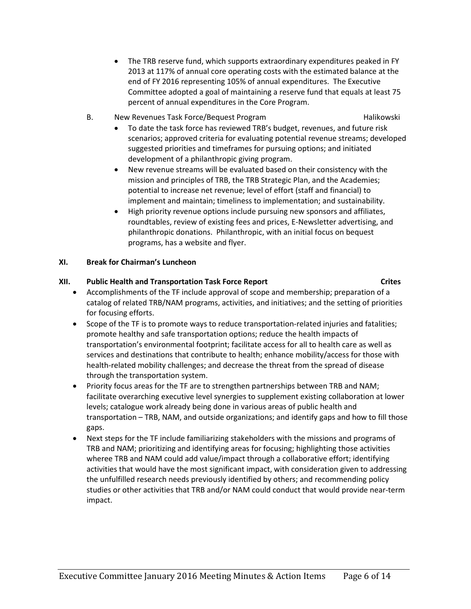- The TRB reserve fund, which supports extraordinary expenditures peaked in FY 2013 at 117% of annual core operating costs with the estimated balance at the end of FY 2016 representing 105% of annual expenditures. The Executive Committee adopted a goal of maintaining a reserve fund that equals at least 75 percent of annual expenditures in the Core Program.
- B. New Revenues Task Force/Bequest Program Theorem Halikowski
	-
	- To date the task force has reviewed TRB's budget, revenues, and future risk scenarios; approved criteria for evaluating potential revenue streams; developed suggested priorities and timeframes for pursuing options; and initiated development of a philanthropic giving program.
	- New revenue streams will be evaluated based on their consistency with the mission and principles of TRB, the TRB Strategic Plan, and the Academies; potential to increase net revenue; level of effort (staff and financial) to implement and maintain; timeliness to implementation; and sustainability.
	- High priority revenue options include pursuing new sponsors and affiliates, roundtables, review of existing fees and prices, E-Newsletter advertising, and philanthropic donations. Philanthropic, with an initial focus on bequest programs, has a website and flyer.

## **XI. Break for Chairman's Luncheon**

# **XII. Public Health and Transportation Task Force Report Crites**

- Accomplishments of the TF include approval of scope and membership; preparation of a catalog of related TRB/NAM programs, activities, and initiatives; and the setting of priorities for focusing efforts.
- Scope of the TF is to promote ways to reduce transportation-related injuries and fatalities; promote healthy and safe transportation options; reduce the health impacts of transportation's environmental footprint; facilitate access for all to health care as well as services and destinations that contribute to health; enhance mobility/access for those with health-related mobility challenges; and decrease the threat from the spread of disease through the transportation system.
- Priority focus areas for the TF are to strengthen partnerships between TRB and NAM; facilitate overarching executive level synergies to supplement existing collaboration at lower levels; catalogue work already being done in various areas of public health and transportation – TRB, NAM, and outside organizations; and identify gaps and how to fill those gaps.
- Next steps for the TF include familiarizing stakeholders with the missions and programs of TRB and NAM; prioritizing and identifying areas for focusing; highlighting those activities wheree TRB and NAM could add value/impact through a collaborative effort; identifying activities that would have the most significant impact, with consideration given to addressing the unfulfilled research needs previously identified by others; and recommending policy studies or other activities that TRB and/or NAM could conduct that would provide near-term impact.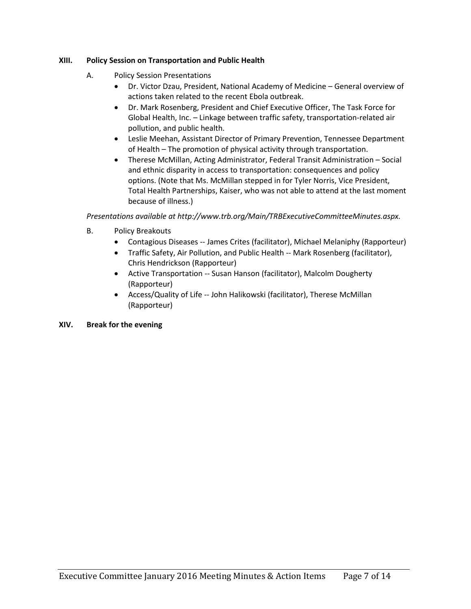# **XIII. Policy Session on Transportation and Public Health**

- A. Policy Session Presentations
	- Dr. Victor Dzau, President, National Academy of Medicine General overview of actions taken related to the recent Ebola outbreak.
	- Dr. Mark Rosenberg, President and Chief Executive Officer, The Task Force for Global Health, Inc. – Linkage between traffic safety, transportation-related air pollution, and public health.
	- Leslie Meehan, Assistant Director of Primary Prevention, Tennessee Department of Health – The promotion of physical activity through transportation.
	- Therese McMillan, Acting Administrator, Federal Transit Administration Social and ethnic disparity in access to transportation: consequences and policy options. (Note that Ms. McMillan stepped in for Tyler Norris, Vice President, Total Health Partnerships, Kaiser, who was not able to attend at the last moment because of illness.)

*Presentations available at http://www.trb.org/Main/TRBExecutiveCommitteeMinutes.aspx.*

- B. Policy Breakouts
	- Contagious Diseases -- James Crites (facilitator), Michael Melaniphy (Rapporteur)
	- Traffic Safety, Air Pollution, and Public Health -- Mark Rosenberg (facilitator), Chris Hendrickson (Rapporteur)
	- Active Transportation -- Susan Hanson (facilitator), Malcolm Dougherty (Rapporteur)
	- Access/Quality of Life -- John Halikowski (facilitator), Therese McMillan (Rapporteur)

# **XIV. Break for the evening**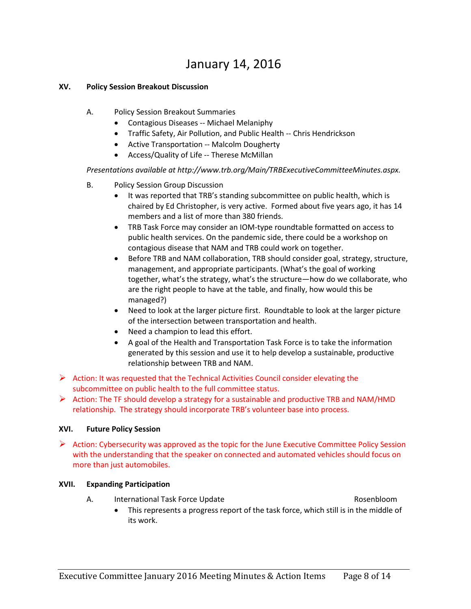# January 14, 2016

### **XV. Policy Session Breakout Discussion**

- A. Policy Session Breakout Summaries
	- Contagious Diseases -- Michael Melaniphy
	- Traffic Safety, Air Pollution, and Public Health -- Chris Hendrickson
	- Active Transportation -- Malcolm Dougherty
	- Access/Quality of Life -- Therese McMillan

*Presentations available at http://www.trb.org/Main/TRBExecutiveCommitteeMinutes.aspx.*

- B. Policy Session Group Discussion
	- It was reported that TRB's standing subcommittee on public health, which is chaired by Ed Christopher, is very active. Formed about five years ago, it has 14 members and a list of more than 380 friends.
	- TRB Task Force may consider an IOM-type roundtable formatted on access to public health services. On the pandemic side, there could be a workshop on contagious disease that NAM and TRB could work on together.
	- Before TRB and NAM collaboration, TRB should consider goal, strategy, structure, management, and appropriate participants. (What's the goal of working together, what's the strategy, what's the structure—how do we collaborate, who are the right people to have at the table, and finally, how would this be managed?)
	- Need to look at the larger picture first. Roundtable to look at the larger picture of the intersection between transportation and health.
	- Need a champion to lead this effort.
	- A goal of the Health and Transportation Task Force is to take the information generated by this session and use it to help develop a sustainable, productive relationship between TRB and NAM.
- $\triangleright$  Action: It was requested that the Technical Activities Council consider elevating the subcommittee on public health to the full committee status.

 $\triangleright$  Action: The TF should develop a strategy for a sustainable and productive TRB and NAM/HMD relationship. The strategy should incorporate TRB's volunteer base into process.

### **XVI. Future Policy Session**

 $\triangleright$  Action: Cybersecurity was approved as the topic for the June Executive Committee Policy Session with the understanding that the speaker on connected and automated vehicles should focus on more than just automobiles.

### **XVII. Expanding Participation**

A. International Task Force Update **Rosenbloom** Rosenbloom

• This represents a progress report of the task force, which still is in the middle of its work.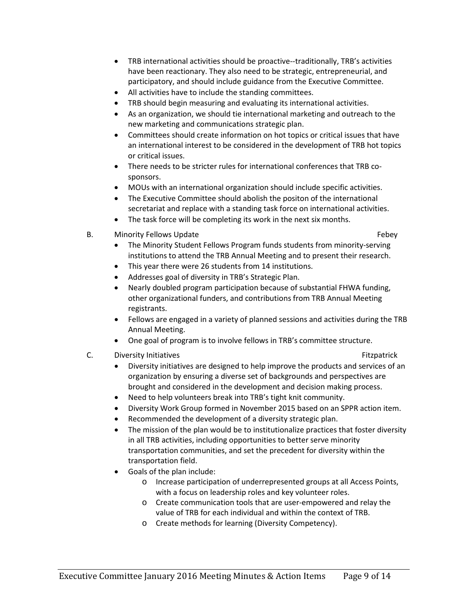- TRB international activities should be proactive--traditionally, TRB's activities have been reactionary. They also need to be strategic, entrepreneurial, and participatory, and should include guidance from the Executive Committee.
- All activities have to include the standing committees.
- TRB should begin measuring and evaluating its international activities.
- As an organization, we should tie international marketing and outreach to the new marketing and communications strategic plan.
- Committees should create information on hot topics or critical issues that have an international interest to be considered in the development of TRB hot topics or critical issues.
- There needs to be stricter rules for international conferences that TRB cosponsors.
- MOUs with an international organization should include specific activities.
- The Executive Committee should abolish the positon of the international secretariat and replace with a standing task force on international activities.
- The task force will be completing its work in the next six months.
- B. Minority Fellows Update **Febels Febels Febels**

- The Minority Student Fellows Program funds students from minority-serving institutions to attend the TRB Annual Meeting and to present their research.
- This year there were 26 students from 14 institutions.
- Addresses goal of diversity in TRB's Strategic Plan.
- Nearly doubled program participation because of substantial FHWA funding, other organizational funders, and contributions from TRB Annual Meeting registrants.
- Fellows are engaged in a variety of planned sessions and activities during the TRB Annual Meeting.
- One goal of program is to involve fellows in TRB's committee structure.
- C. Diversity Initiatives **Fitzpatrick C.** Diversity Initiatives

- Diversity initiatives are designed to help improve the products and services of an organization by ensuring a diverse set of backgrounds and perspectives are brought and considered in the development and decision making process.
- Need to help volunteers break into TRB's tight knit community.
- Diversity Work Group formed in November 2015 based on an SPPR action item.
- Recommended the development of a diversity strategic plan.
- The mission of the plan would be to institutionalize practices that foster diversity in all TRB activities, including opportunities to better serve minority transportation communities, and set the precedent for diversity within the transportation field.
- Goals of the plan include:
	- o Increase participation of underrepresented groups at all Access Points, with a focus on leadership roles and key volunteer roles.
	- o Create communication tools that are user-empowered and relay the value of TRB for each individual and within the context of TRB.
	- o Create methods for learning (Diversity Competency).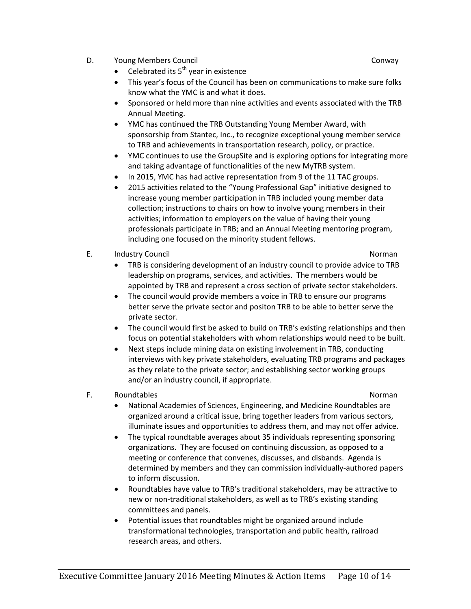D. Young Members Council Conway

- Celebrated its  $5<sup>th</sup>$  year in existence
- This year's focus of the Council has been on communications to make sure folks know what the YMC is and what it does.
- Sponsored or held more than nine activities and events associated with the TRB Annual Meeting.
- YMC has continued the TRB Outstanding Young Member Award, with sponsorship from Stantec, Inc., to recognize exceptional young member service to TRB and achievements in transportation research, policy, or practice.
- YMC continues to use the GroupSite and is exploring options for integrating more and taking advantage of functionalities of the new MyTRB system.
- In 2015, YMC has had active representation from 9 of the 11 TAC groups.
- 2015 activities related to the "Young Professional Gap" initiative designed to increase young member participation in TRB included young member data collection; instructions to chairs on how to involve young members in their activities; information to employers on the value of having their young professionals participate in TRB; and an Annual Meeting mentoring program, including one focused on the minority student fellows.
- E. Industry Council and the community of the control of the control of the control of the control of the control of the control of the control of the control of the control of the control of the control of the control of t

- TRB is considering development of an industry council to provide advice to TRB leadership on programs, services, and activities. The members would be appointed by TRB and represent a cross section of private sector stakeholders.
- The council would provide members a voice in TRB to ensure our programs better serve the private sector and positon TRB to be able to better serve the private sector.
- The council would first be asked to build on TRB's existing relationships and then focus on potential stakeholders with whom relationships would need to be built.
- Next steps include mining data on existing involvement in TRB, conducting interviews with key private stakeholders, evaluating TRB programs and packages as they relate to the private sector; and establishing sector working groups and/or an industry council, if appropriate.
- F. Roundtables **Norman** Research 2014 12:00 Norman Research 2014 12:00 Norman Research 2014

- National Academies of Sciences, Engineering, and Medicine Roundtables are organized around a critical issue, bring together leaders from various sectors, illuminate issues and opportunities to address them, and may not offer advice.
- The typical roundtable averages about 35 individuals representing sponsoring organizations. They are focused on continuing discussion, as opposed to a meeting or conference that convenes, discusses, and disbands. Agenda is determined by members and they can commission individually-authored papers to inform discussion.
- Roundtables have value to TRB's traditional stakeholders, may be attractive to new or non-traditional stakeholders, as well as to TRB's existing standing committees and panels.
- Potential issues that roundtables might be organized around include transformational technologies, transportation and public health, railroad research areas, and others.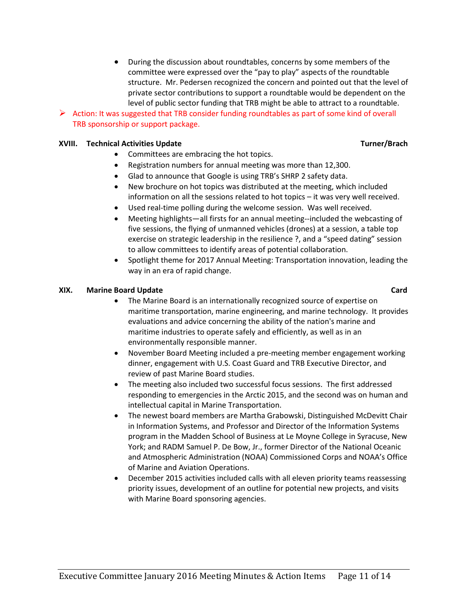• During the discussion about roundtables, concerns by some members of the committee were expressed over the "pay to play" aspects of the roundtable structure. Mr. Pedersen recognized the concern and pointed out that the level of private sector contributions to support a roundtable would be dependent on the level of public sector funding that TRB might be able to attract to a roundtable.

## $\triangleright$  Action: It was suggested that TRB consider funding roundtables as part of some kind of overall TRB sponsorship or support package.

#### **XVIII.** Technical Activities Update Turner/Brach Turner/Brach

- Committees are embracing the hot topics.
- Registration numbers for annual meeting was more than 12,300.
- Glad to announce that Google is using TRB's SHRP 2 safety data.
- New brochure on hot topics was distributed at the meeting, which included information on all the sessions related to hot topics – it was very well received.
- Used real-time polling during the welcome session. Was well received.
- Meeting highlights—all firsts for an annual meeting--included the webcasting of five sessions, the flying of unmanned vehicles (drones) at a session, a table top exercise on strategic leadership in the resilience ?, and a "speed dating" session to allow committees to identify areas of potential collaboration.
- Spotlight theme for 2017 Annual Meeting: Transportation innovation, leading the way in an era of rapid change.

#### **XIX. Marine Board Update Card**

- The Marine Board is an internationally recognized source of expertise on maritime transportation, marine engineering, and marine technology. It provides evaluations and advice concerning the ability of the nation's marine and maritime industries to operate safely and efficiently, as well as in an environmentally responsible manner.
- November Board Meeting included a pre-meeting member engagement working dinner, engagement with U.S. Coast Guard and TRB Executive Director, and review of past Marine Board studies.
- The meeting also included two successful focus sessions. The first addressed responding to emergencies in the Arctic 2015, and the second was on human and intellectual capital in Marine Transportation.
- The newest board members are Martha Grabowski, Distinguished McDevitt Chair in Information Systems, and Professor and Director of the Information Systems program in the Madden School of Business at Le Moyne College in Syracuse, New York; and RADM Samuel P. De Bow, Jr., former Director of the National Oceanic and Atmospheric Administration (NOAA) Commissioned Corps and NOAA's Office of Marine and Aviation Operations.
- December 2015 activities included calls with all eleven priority teams reassessing priority issues, development of an outline for potential new projects, and visits with Marine Board sponsoring agencies.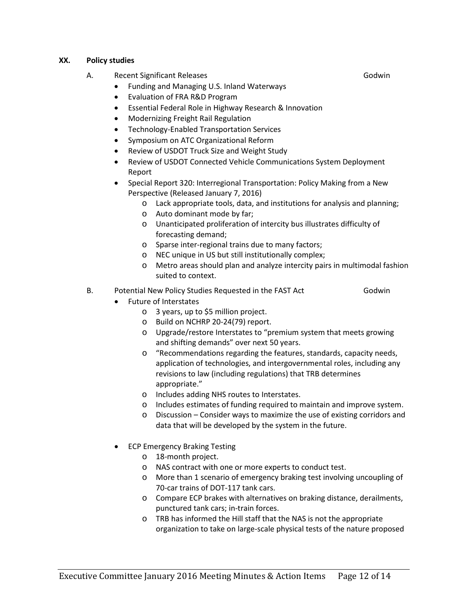#### **XX. Policy studies**

- A. Recent Significant Releases Contract Contract Contract Contract Contract Contract Contract Contract Contract Contract Contract Contract Contract Contract Contract Contract Contract Contract Contract Contract Contract Co
	- Funding and Managing U.S. Inland Waterways
	- Evaluation of FRA R&D Program
	- Essential Federal Role in Highway Research & Innovation
	- Modernizing Freight Rail Regulation
	- Technology-Enabled Transportation Services
	- Symposium on ATC Organizational Reform
	- Review of USDOT Truck Size and Weight Study
	- Review of USDOT Connected Vehicle Communications System Deployment Report
	- Special Report 320: Interregional Transportation: Policy Making from a New Perspective (Released January 7, 2016)
		- o Lack appropriate tools, data, and institutions for analysis and planning;
		- o Auto dominant mode by far;
		- o Unanticipated proliferation of intercity bus illustrates difficulty of forecasting demand;
		- o Sparse inter-regional trains due to many factors;
		- o NEC unique in US but still institutionally complex;
		- o Metro areas should plan and analyze intercity pairs in multimodal fashion suited to context.
- B. Potential New Policy Studies Requested in the FAST Act Godwin
	-
- Future of Interstates
	- o 3 years, up to \$5 million project.
	- o Build on NCHRP 20-24(79) report.
	- o Upgrade/restore Interstates to "premium system that meets growing and shifting demands" over next 50 years.
	- o "Recommendations regarding the features, standards, capacity needs, application of technologies, and intergovernmental roles, including any revisions to law (including regulations) that TRB determines appropriate."
	- o Includes adding NHS routes to Interstates.
	- o Includes estimates of funding required to maintain and improve system.
	- o Discussion Consider ways to maximize the use of existing corridors and data that will be developed by the system in the future.
- ECP Emergency Braking Testing
	- o 18-month project.
	- o NAS contract with one or more experts to conduct test.
	- o More than 1 scenario of emergency braking test involving uncoupling of 70-car trains of DOT-117 tank cars.
	- o Compare ECP brakes with alternatives on braking distance, derailments, punctured tank cars; in-train forces.
	- o TRB has informed the Hill staff that the NAS is not the appropriate organization to take on large-scale physical tests of the nature proposed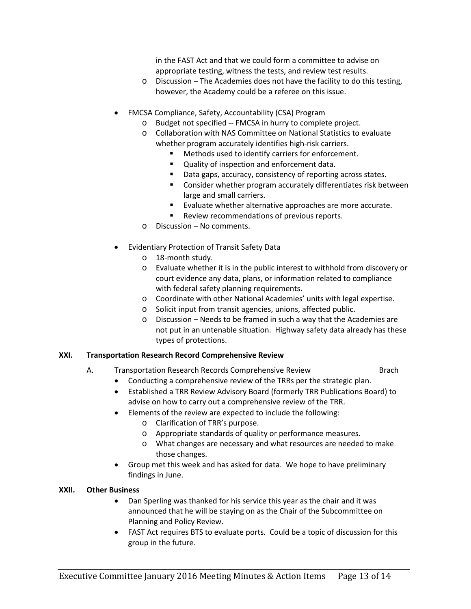in the FAST Act and that we could form a committee to advise on appropriate testing, witness the tests, and review test results.

- o Discussion The Academies does not have the facility to do this testing, however, the Academy could be a referee on this issue.
- FMCSA Compliance, Safety, Accountability (CSA) Program
	- o Budget not specified -- FMCSA in hurry to complete project.
	- o Collaboration with NAS Committee on National Statistics to evaluate whether program accurately identifies high-risk carriers.
		- Methods used to identify carriers for enforcement.
		- **Quality of inspection and enforcement data.**
		- Data gaps, accuracy, consistency of reporting across states.
		- **EXTER** Consider whether program accurately differentiates risk between large and small carriers.
		- **Evaluate whether alternative approaches are more accurate.**
		- **Review recommendations of previous reports.**
	- o Discussion No comments.
- Evidentiary Protection of Transit Safety Data
	- o 18-month study.
	- o Evaluate whether it is in the public interest to withhold from discovery or court evidence any data, plans, or information related to compliance with federal safety planning requirements.
	- o Coordinate with other National Academies' units with legal expertise.
	- o Solicit input from transit agencies, unions, affected public.
	- o Discussion Needs to be framed in such a way that the Academies are not put in an untenable situation. Highway safety data already has these types of protections.

### **XXI. Transportation Research Record Comprehensive Review**

- A. Transportation Research Records Comprehensive Review Brach
	- Conducting a comprehensive review of the TRRs per the strategic plan.
	- Established a TRR Review Advisory Board (formerly TRR Publications Board) to advise on how to carry out a comprehensive review of the TRR.
	- Elements of the review are expected to include the following:
		- o Clarification of TRR's purpose.
		- o Appropriate standards of quality or performance measures.
		- o What changes are necessary and what resources are needed to make those changes.
	- Group met this week and has asked for data. We hope to have preliminary findings in June.

### **XXII. Other Business**

- Dan Sperling was thanked for his service this year as the chair and it was announced that he will be staying on as the Chair of the Subcommittee on Planning and Policy Review.
- FAST Act requires BTS to evaluate ports. Could be a topic of discussion for this group in the future.